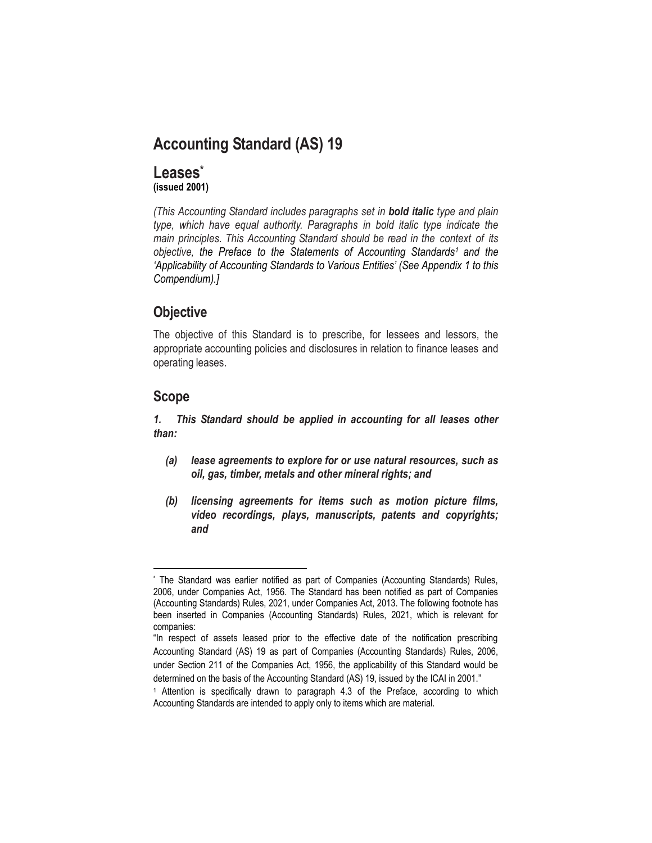# **Accounting Standard (AS) 19**

### **Leases\* (issued 2001)**

*(This Accounting Standard includes paragraphs set in bold italic type and plain type, which have equal authority. Paragraphs in bold italic type indicate the main principles. This Accounting Standard should be read in the context of its objective, the Preface to the Statements of Accounting Standards<sup>1</sup> and the 'Applicability of Accounting Standards to Various Entities' (See Appendix 1 to this Compendium).]*

# **Objective**

The objective of this Standard is to prescribe, for lessees and lessors, the appropriate accounting policies and disclosures in relation to finance leases and operating leases.

# **Scope**

*1. This Standard should be applied in accounting for all leases other than:*

- *(a) lease agreements to explore for or use natural resources, such as oil, gas, timber, metals and other mineral rights; and*
- *(b) licensing agreements for items such as motion picture films, video recordings, plays, manuscripts, patents and copyrights; and*

 $\overline{\phantom{a}}$ The Standard was earlier notified as part of Companies (Accounting Standards) Rules, 2006, under Companies Act, 1956. The Standard has been notified as part of Companies (Accounting Standards) Rules, 2021, under Companies Act, 2013. The following footnote has been inserted in Companies (Accounting Standards) Rules, 2021, which is relevant for companies:

<sup>&</sup>quot;In respect of assets leased prior to the effective date of the notification prescribing Accounting Standard (AS) 19 as part of Companies (Accounting Standards) Rules, 2006, under Section 211 of the Companies Act, 1956, the applicability of this Standard would be determined on the basis of the Accounting Standard (AS) 19, issued by the ICAI in 2001."

<sup>1</sup> Attention is specifically drawn to paragraph 4.3 of the Preface, according to which Accounting Standards are intended to apply only to items which are material.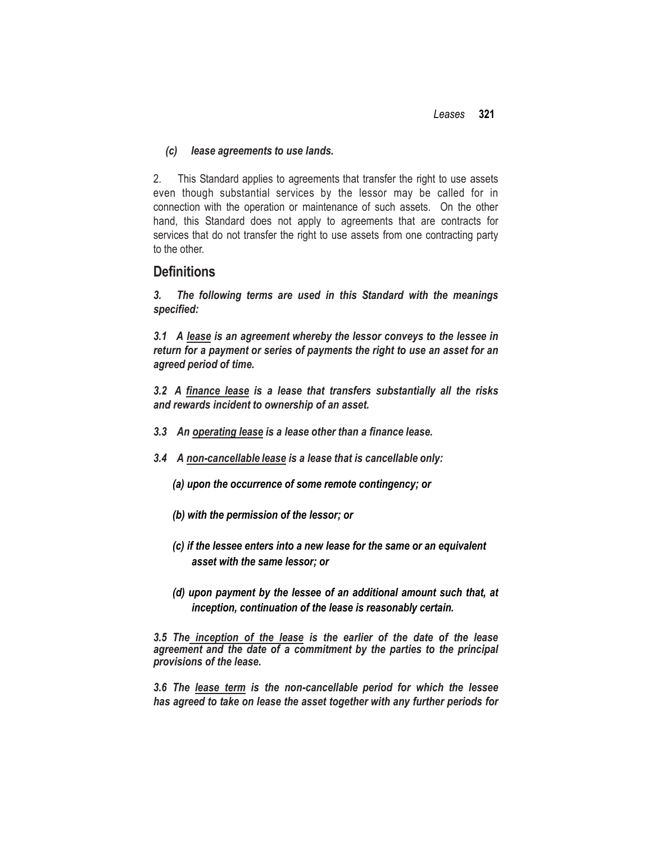#### *(c) lease agreements to use lands.*

2. This Standard applies to agreements that transfer the right to use assets even though substantial services by the lessor may be called for in connection with the operation or maintenance of such assets. On the other hand, this Standard does not apply to agreements that are contracts for services that do not transfer the right to use assets from one contracting party to the other.

### **Definitions**

*3. The following terms are used in this Standard with the meanings specified:*

*3.1 A lease is an agreement whereby the lessor conveys to the lessee in return for a payment or series of payments the right to use an asset for an agreed period of time.*

*3.2 A finance lease is a lease that transfers substantially all the risks and rewards incident to ownership of an asset.*

- *3.3 An operating lease is a lease other than a finance lease.*
- *3.4 A non-cancellable lease is a lease that is cancellable only:*
	- *(a) upon the occurrence of some remote contingency; or*
	- *(b) with the permission of the lessor; or*
	- *(c) if the lessee enters into a new lease for the same or an equivalent asset with the same lessor; or*
	- *(d) upon payment by the lessee of an additional amount such that, at inception, continuation of the lease is reasonably certain.*

*3.5 The inception of the lease is the earlier of the date of the lease agreement and the date of a commitment by the parties to the principal provisions of the lease.*

*3.6 The lease term is the non-cancellable period for which the lessee has agreed to take on lease the asset together with any further periods for*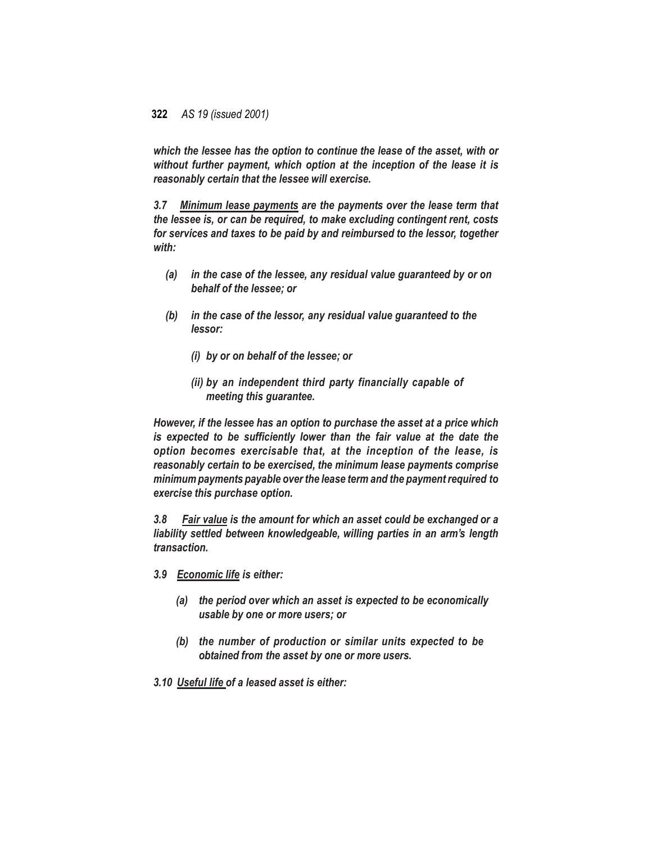*which the lessee has the option to continue the lease of the asset, with or without further payment, which option at the inception of the lease it is reasonably certain that the lessee will exercise.*

*3.7 Minimum lease payments are the payments over the lease term that the lessee is, or can be required, to make excluding contingent rent, costs for services and taxes to be paid by and reimbursed to the lessor, together with:*

- *(a) in the case of the lessee, any residual value guaranteed by or on behalf of the lessee; or*
- *(b) in the case of the lessor, any residual value guaranteed to the lessor:*
	- *(i) by or on behalf of the lessee; or*
	- *(ii) by an independent third party financially capable of meeting this guarantee.*

*However, if the lessee has an option to purchase the asset at a price which is expected to be sufficiently lower than the fair value at the date the option becomes exercisable that, at the inception of the lease, is reasonably certain to be exercised, the minimum lease payments comprise minimumpayments payable overthe lease term and the paymentrequired to exercise this purchase option.*

*3.8 Fair value is the amount for which an asset could be exchanged or a liability settled between knowledgeable, willing parties in an arm's length transaction.*

- *3.9 Economic life is either:*
	- *(a) the period over which an asset is expected to be economically usable by one or more users; or*
	- *(b) the number of production or similar units expected to be obtained from the asset by one or more users.*
- *3.10 Useful life of a leased asset is either:*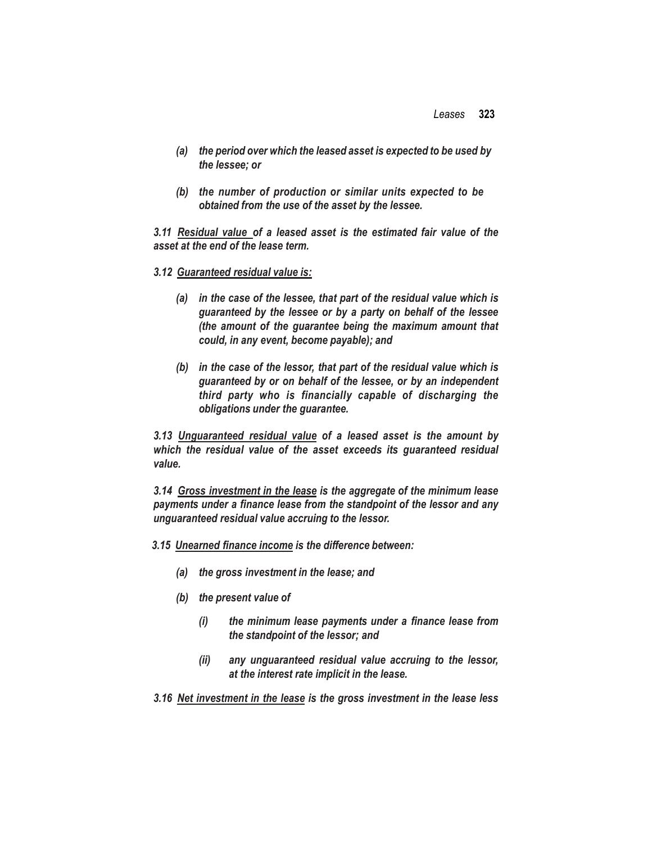- *(a) the period over which the leased asset is expected to be used by the lessee; or*
- *(b) the number of production or similar units expected to be obtained from the use of the asset by the lessee.*

*3.11 Residual value of a leased asset is the estimated fair value of the asset at the end of the lease term.*

- *3.12 Guaranteed residual value is:*
	- *(a) in the case of the lessee, that part of the residual value which is guaranteed by the lessee or by a party on behalf of the lessee (the amount of the guarantee being the maximum amount that could, in any event, become payable); and*
	- *(b) in the case of the lessor, that part of the residual value which is guaranteed by or on behalf of the lessee, or by an independent third party who is financially capable of discharging the obligations under the guarantee.*

*3.13 Unguaranteed residual value of a leased asset is the amount by which the residual value of the asset exceeds its guaranteed residual value.*

*3.14 Gross investment in the lease is the aggregate of the minimum lease payments under a finance lease from the standpoint of the lessor and any unguaranteed residual value accruing to the lessor.*

- *3.15 Unearned finance income is the difference between:* 
	- *(a) the gross investment in the lease; and*
	- *(b) the present value of*
		- *(i) the minimum lease payments under a finance lease from the standpoint of the lessor; and*
		- *(ii) any unguaranteed residual value accruing to the lessor, at the interest rate implicit in the lease.*
- *3.16 Net investment in the lease is the gross investment in the lease less*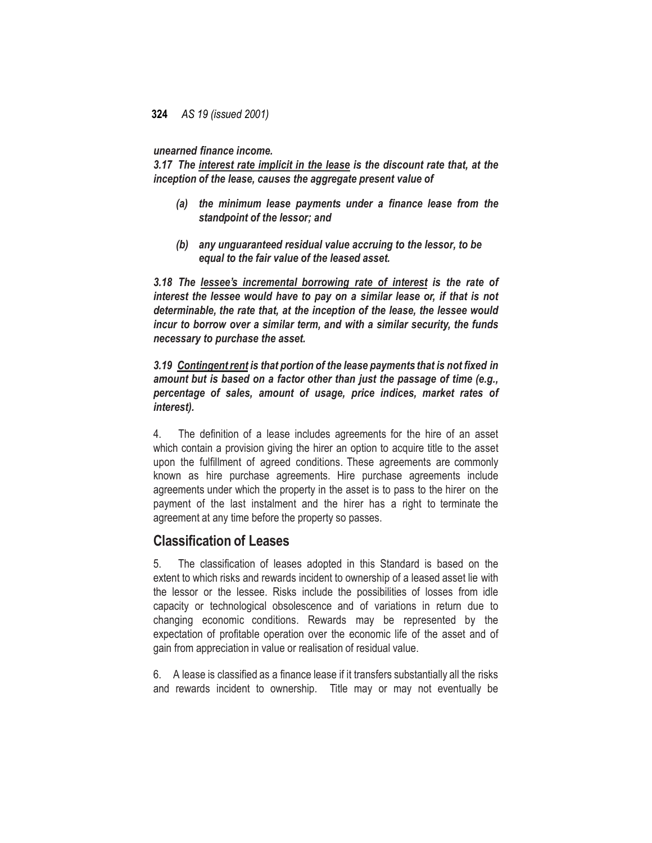*unearned finance income.*

*3.17 The interest rate implicit in the lease is the discount rate that, at the inception of the lease, causes the aggregate present value of*

- *(a) the minimum lease payments under a finance lease from the standpoint of the lessor; and*
- *(b) any unguaranteed residual value accruing to the lessor, to be equal to the fair value of the leased asset.*

*3.18 The lessee's incremental borrowing rate of interest is the rate of interest the lessee would have to pay on a similar lease or, if that is not determinable, the rate that, at the inception of the lease, the lessee would incur to borrow over a similar term, and with a similar security, the funds necessary to purchase the asset.*

*3.19 Contingentrent is that portion of the lease payments that is not fixed in amount but is based on a factor other than just the passage of time (e.g., percentage of sales, amount of usage, price indices, market rates of interest).*

4. The definition of a lease includes agreements for the hire of an asset which contain a provision giving the hirer an option to acquire title to the asset upon the fulfillment of agreed conditions. These agreements are commonly known as hire purchase agreements. Hire purchase agreements include agreements under which the property in the asset is to pass to the hirer on the payment of the last instalment and the hirer has a right to terminate the agreement at any time before the property so passes.

### **Classification of Leases**

5. The classification of leases adopted in this Standard is based on the extent to which risks and rewards incident to ownership of a leased asset lie with the lessor or the lessee. Risks include the possibilities of losses from idle capacity or technological obsolescence and of variations in return due to changing economic conditions. Rewards may be represented by the expectation of profitable operation over the economic life of the asset and of gain from appreciation in value or realisation of residual value.

6. A lease is classified as a finance lease if it transfers substantially all the risks and rewards incident to ownership. Title may or may not eventually be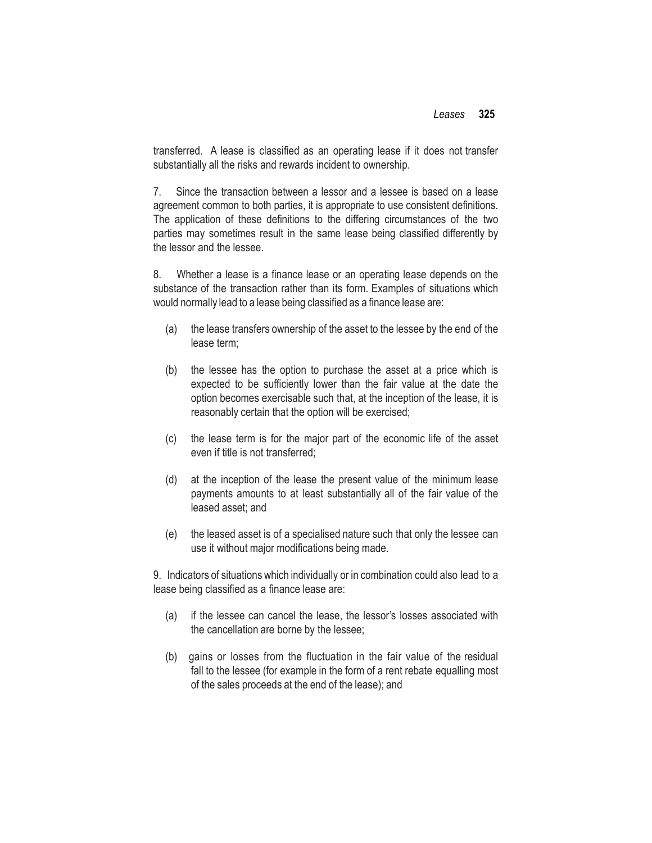transferred. A lease is classified as an operating lease if it does not transfer substantially all the risks and rewards incident to ownership.

7. Since the transaction between a lessor and a lessee is based on a lease agreement common to both parties, it is appropriate to use consistent definitions. The application of these definitions to the differing circumstances of the two parties may sometimes result in the same lease being classified differently by the lessor and the lessee.

8. Whether a lease is a finance lease or an operating lease depends on the substance of the transaction rather than its form. Examples of situations which would normally lead to a lease being classified as a finance lease are:

- (a) the lease transfers ownership of the asset to the lessee by the end of the lease term;
- (b) the lessee has the option to purchase the asset at a price which is expected to be sufficiently lower than the fair value at the date the option becomes exercisable such that, at the inception of the lease, it is reasonably certain that the option will be exercised;
- (c) the lease term is for the major part of the economic life of the asset even if title is not transferred;
- (d) at the inception of the lease the present value of the minimum lease payments amounts to at least substantially all of the fair value of the leased asset; and
- (e) the leased asset is of a specialised nature such that only the lessee can use it without major modifications being made.

9. Indicators of situations which individually or in combination could also lead to a lease being classified as a finance lease are:

- (a) if the lessee can cancel the lease, the lessor's losses associated with the cancellation are borne by the lessee;
- (b) gains or losses from the fluctuation in the fair value of the residual fall to the lessee (for example in the form of a rent rebate equalling most of the sales proceeds at the end of the lease); and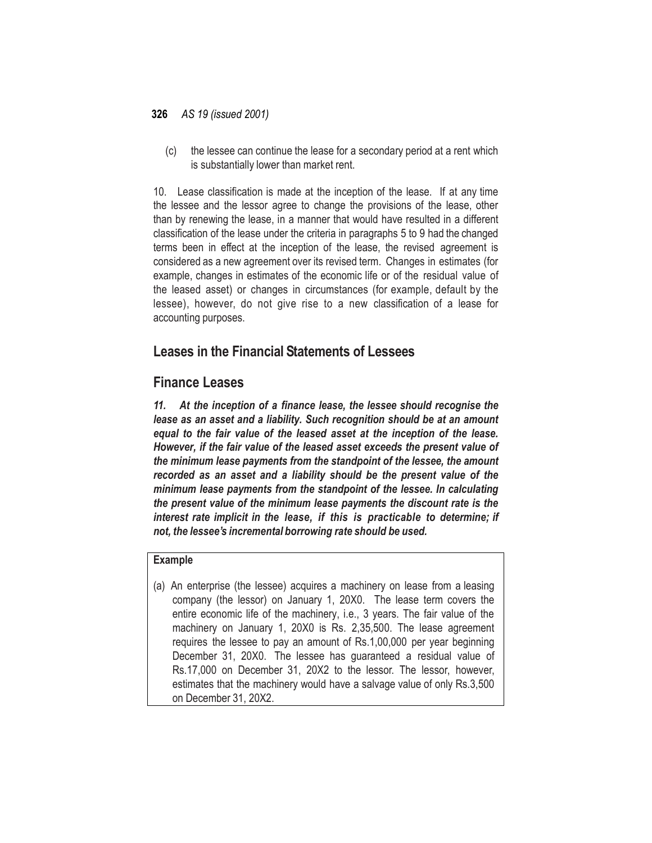(c) the lessee can continue the lease for a secondary period at a rent which is substantially lower than market rent.

10. Lease classification is made at the inception of the lease. If at any time the lessee and the lessor agree to change the provisions of the lease, other than by renewing the lease, in a manner that would have resulted in a different classification of the lease under the criteria in paragraphs 5 to 9 had the changed terms been in effect at the inception of the lease, the revised agreement is considered as a new agreement over its revised term. Changes in estimates (for example, changes in estimates of the economic life or of the residual value of the leased asset) or changes in circumstances (for example, default by the lessee), however, do not give rise to a new classification of a lease for accounting purposes.

### **Leases in the Financial Statements of Lessees**

### **Finance Leases**

*11. At the inception of a finance lease, the lessee should recognise the lease as an asset and a liability. Such recognition should be at an amount equal to the fair value of the leased asset at the inception of the lease. However, if the fair value of the leased asset exceeds the present value of the minimum lease payments from the standpoint of the lessee, the amount recorded as an asset and a liability should be the present value of the minimum lease payments from the standpoint of the lessee. In calculating the present value of the minimum lease payments the discount rate is the interest rate implicit in the lease, if this is practicable to determine; if not, the lessee's incremental borrowing rate should be used.*

### **Example**

(a) An enterprise (the lessee) acquires a machinery on lease from a leasing company (the lessor) on January 1, 20X0. The lease term covers the entire economic life of the machinery, i.e., 3 years. The fair value of the machinery on January 1, 20X0 is Rs. 2,35,500. The lease agreement requires the lessee to pay an amount of Rs.1,00,000 per year beginning December 31, 20X0. The lessee has guaranteed a residual value of Rs.17,000 on December 31, 20X2 to the lessor. The lessor, however, estimates that the machinery would have a salvage value of only Rs.3,500 on December 31, 20X2.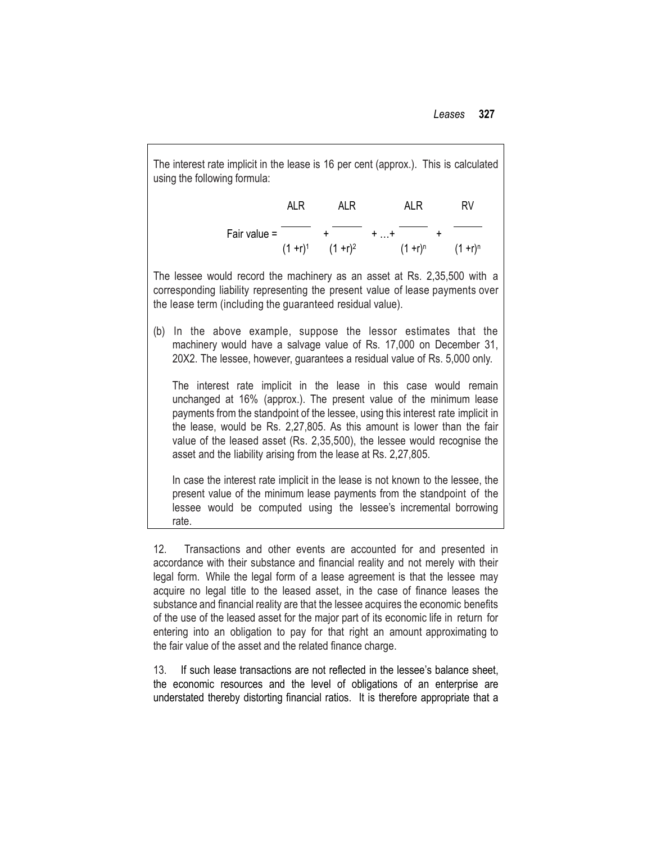The interest rate implicit in the lease is 16 per cent (approx.). This is calculated using the following formula:

|                | AI R | ALR                     | ALR         | RV          |
|----------------|------|-------------------------|-------------|-------------|
| Fair value $=$ |      | ÷                       | $++$        |             |
|                |      | $(1 + r)^1$ $(1 + r)^2$ | $(1 + r)^n$ | $(1 + r)^n$ |

The lessee would record the machinery as an asset at Rs. 2,35,500 with a corresponding liability representing the present value of lease payments over the lease term (including the guaranteed residual value).

(b) In the above example, suppose the lessor estimates that the machinery would have a salvage value of Rs. 17,000 on December 31, 20X2. The lessee, however, guarantees a residual value of Rs. 5,000 only.

 The interest rate implicit in the lease in this case would remain unchanged at 16% (approx.). The present value of the minimum lease payments from the standpoint of the lessee, using this interest rate implicit in the lease, would be Rs. 2,27,805. As this amount is lower than the fair value of the leased asset (Rs. 2,35,500), the lessee would recognise the asset and the liability arising from the lease at Rs. 2,27,805.

 In case the interest rate implicit in the lease is not known to the lessee, the present value of the minimum lease payments from the standpoint of the lessee would be computed using the lessee's incremental borrowing rate.

12. Transactions and other events are accounted for and presented in accordance with their substance and financial reality and not merely with their legal form. While the legal form of a lease agreement is that the lessee may acquire no legal title to the leased asset, in the case of finance leases the substance and financial reality are that the lessee acquires the economic benefits of the use of the leased asset for the major part of its economic life in return for entering into an obligation to pay for that right an amount approximating to the fair value of the asset and the related finance charge.

13. If such lease transactions are not reflected in the lessee's balance sheet, the economic resources and the level of obligations of an enterprise are understated thereby distorting financial ratios. It is therefore appropriate that a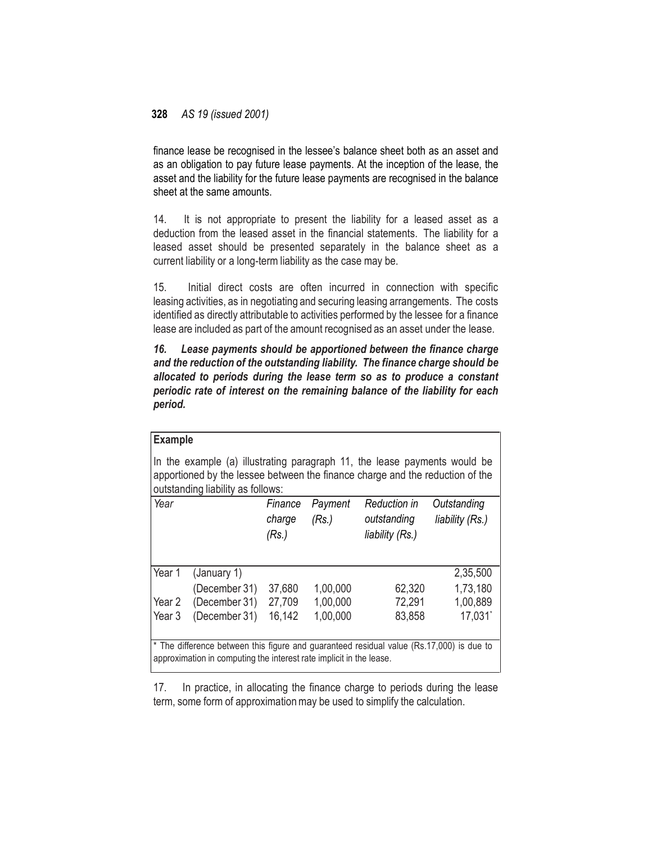finance lease be recognised in the lessee's balance sheet both as an asset and as an obligation to pay future lease payments. At the inception of the lease, the asset and the liability for the future lease payments are recognised in the balance sheet at the same amounts.

14. It is not appropriate to present the liability for a leased asset as a deduction from the leased asset in the financial statements. The liability for a leased asset should be presented separately in the balance sheet as a current liability or a long-term liability as the case may be.

15. Initial direct costs are often incurred in connection with specific leasing activities, as in negotiating and securing leasing arrangements. The costs identified as directly attributable to activities performed by the lessee for a finance lease are included as part of the amount recognised as an asset under the lease.

*16. Lease payments should be apportioned between the finance charge and the reduction of the outstanding liability. The finance charge should be allocated to periods during the lease term so as to produce a constant periodic rate of interest on the remaining balance of the liability for each period.*

| <b>Example</b>                                                                                                                                                                                  |               |         |          |                     |                 |
|-------------------------------------------------------------------------------------------------------------------------------------------------------------------------------------------------|---------------|---------|----------|---------------------|-----------------|
| In the example (a) illustrating paragraph 11, the lease payments would be<br>apportioned by the lessee between the finance charge and the reduction of the<br>outstanding liability as follows: |               |         |          |                     |                 |
| Year                                                                                                                                                                                            |               | Finance | Payment  | <b>Reduction</b> in | Outstanding     |
|                                                                                                                                                                                                 |               | charge  | (Rs.)    | outstanding         | liability (Rs.) |
|                                                                                                                                                                                                 |               | (Rs.)   |          | liability (Rs.)     |                 |
|                                                                                                                                                                                                 |               |         |          |                     |                 |
|                                                                                                                                                                                                 |               |         |          |                     |                 |
| Year 1                                                                                                                                                                                          | (January 1)   |         |          |                     | 2,35,500        |
|                                                                                                                                                                                                 | (December 31) | 37,680  | 1,00,000 | 62,320              | 1,73,180        |
| Year 2                                                                                                                                                                                          | (December 31) | 27,709  | 1,00,000 | 72,291              | 1,00,889        |
| Year <sub>3</sub>                                                                                                                                                                               | (December 31) | 16,142  | 1,00,000 | 83,858              | 17,031*         |
|                                                                                                                                                                                                 |               |         |          |                     |                 |
| * The difference between this figure and guaranteed residual value (Rs.17,000) is due to                                                                                                        |               |         |          |                     |                 |
| approximation in computing the interest rate implicit in the lease.                                                                                                                             |               |         |          |                     |                 |
|                                                                                                                                                                                                 |               |         |          |                     |                 |

17. In practice, in allocating the finance charge to periods during the lease term, some form of approximation may be used to simplify the calculation.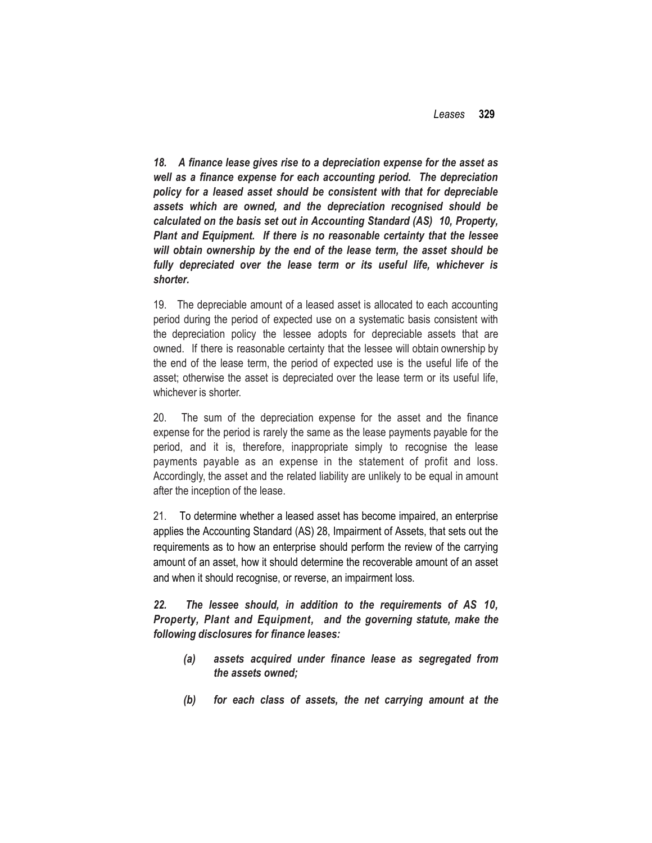*18. A finance lease gives rise to a depreciation expense for the asset as well as a finance expense for each accounting period. The depreciation policy for a leased asset should be consistent with that for depreciable assets which are owned, and the depreciation recognised should be calculated on the basis set out in Accounting Standard (AS) 10, Property, Plant and Equipment. If there is no reasonable certainty that the lessee will obtain ownership by the end of the lease term, the asset should be fully depreciated over the lease term or its useful life, whichever is shorter.*

19. The depreciable amount of a leased asset is allocated to each accounting period during the period of expected use on a systematic basis consistent with the depreciation policy the lessee adopts for depreciable assets that are owned. If there is reasonable certainty that the lessee will obtain ownership by the end of the lease term, the period of expected use is the useful life of the asset; otherwise the asset is depreciated over the lease term or its useful life, whichever is shorter.

20. The sum of the depreciation expense for the asset and the finance expense for the period is rarely the same as the lease payments payable for the period, and it is, therefore, inappropriate simply to recognise the lease payments payable as an expense in the statement of profit and loss. Accordingly, the asset and the related liability are unlikely to be equal in amount after the inception of the lease.

21. To determine whether a leased asset has become impaired, an enterprise applies the Accounting Standard (AS) 28, Impairment of Assets, that sets out the requirements as to how an enterprise should perform the review of the carrying amount of an asset, how it should determine the recoverable amount of an asset and when it should recognise, or reverse, an impairment loss.

*22. The lessee should, in addition to the requirements of AS 10, Property, Plant and Equipment, and the governing statute, make the following disclosures for finance leases:*

- *(a) assets acquired under finance lease as segregated from the assets owned;*
- *(b) for each class of assets, the net carrying amount at the*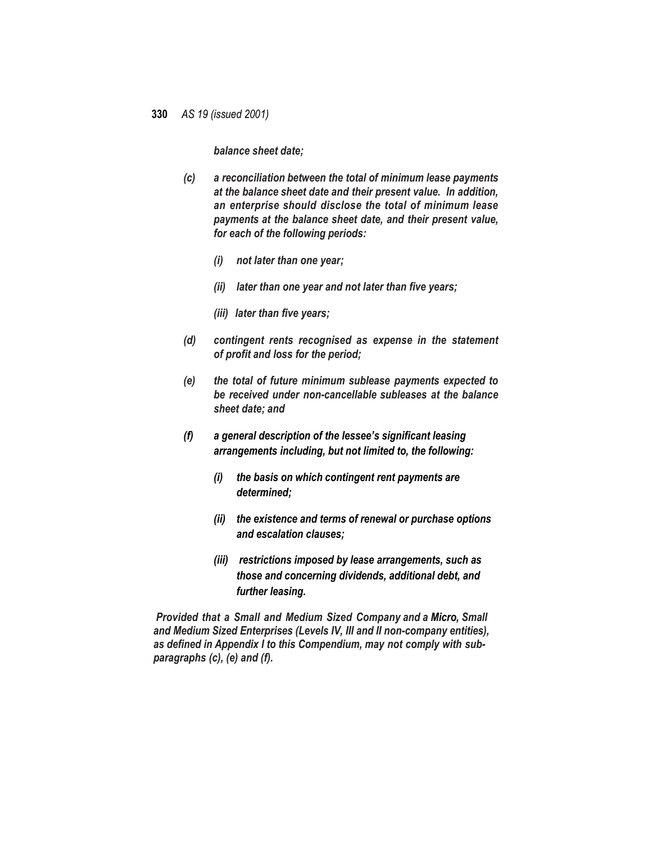*balance sheet date;*

- *(c) a reconciliation between the total of minimum lease payments at the balance sheet date and their present value. In addition, an enterprise should disclose the total of minimum lease payments at the balance sheet date, and their present value, for each of the following periods:*
	- *(i) not later than one year;*
	- *(ii) later than one year and not later than five years;*
	- *(iii) later than five years;*
- *(d) contingent rents recognised as expense in the statement of profit and loss for the period;*
- *(e) the total of future minimum sublease payments expected to be received under non-cancellable subleases at the balance sheet date; and*
- *(f) a general description of the lessee's significant leasing arrangements including, but not limited to, the following:*
	- *(i) the basis on which contingent rent payments are determined;*
	- *(ii) the existence and terms of renewal or purchase options and escalation clauses;*
	- *(iii) restrictions imposed by lease arrangements, such as those and concerning dividends, additional debt, and further leasing.*

*Provided that a Small and Medium Sized Company and a Micro, Small and Medium Sized Enterprises (Levels IV, III and II non-company entities), as defined in Appendix I to this Compendium, may not comply with subparagraphs (c), (e) and (f).*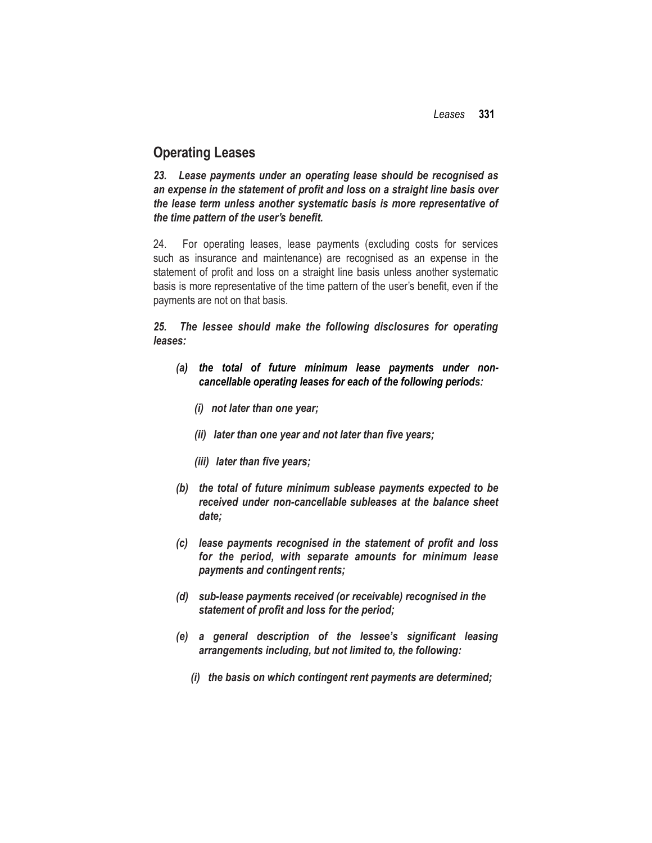### **Operating Leases**

*23. Lease payments under an operating lease should be recognised as an expense in the statement of profit and loss on a straight line basis over the lease term unless another systematic basis is more representative of the time pattern of the user's benefit.*

24. For operating leases, lease payments (excluding costs for services such as insurance and maintenance) are recognised as an expense in the statement of profit and loss on a straight line basis unless another systematic basis is more representative of the time pattern of the user's benefit, even if the payments are not on that basis.

*25. The lessee should make the following disclosures for operating leases:*

- *(a) the total of future minimum lease payments under noncancellable operating leases for each of the following periods:*
	- *(i) not later than one year;*
	- *(ii) later than one year and not later than five years;*
	- *(iii) later than five years;*
- *(b) the total of future minimum sublease payments expected to be received under non-cancellable subleases at the balance sheet date;*
- *(c) lease payments recognised in the statement of profit and loss for the period, with separate amounts for minimum lease payments and contingent rents;*
- *(d) sub-lease payments received (or receivable) recognised in the statement of profit and loss for the period;*
- *(e) a general description of the lessee's significant leasing arrangements including, but not limited to, the following:*
	- *(i) the basis on which contingent rent payments are determined;*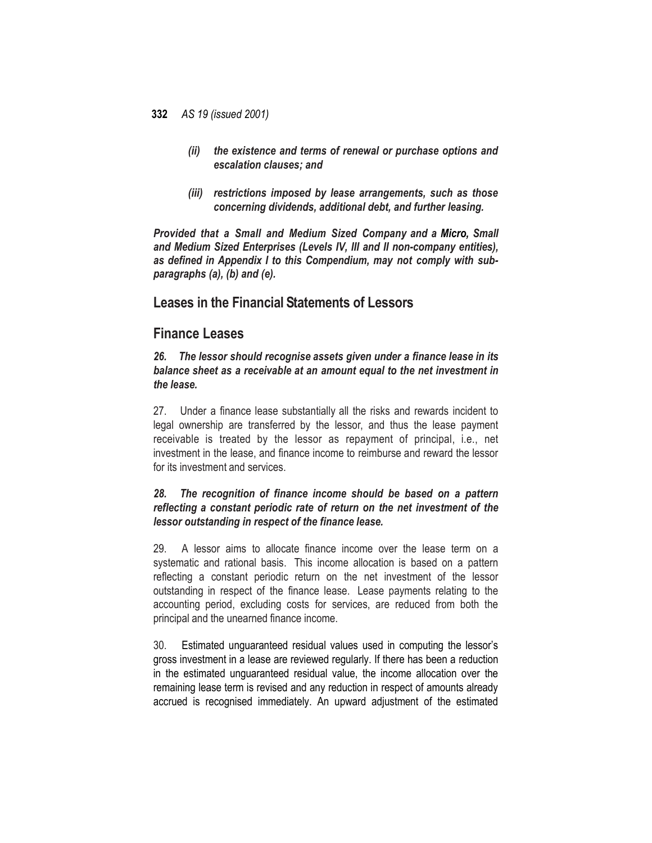- **332** *AS 19 (issued 2001)*
	- *(ii) the existence and terms of renewal or purchase options and escalation clauses; and*
	- *(iii) restrictions imposed by lease arrangements, such as those concerning dividends, additional debt, and further leasing.*

*Provided that a Small and Medium Sized Company and a Micro, Small and Medium Sized Enterprises (Levels IV, III and II non-company entities), as defined in Appendix I to this Compendium, may not comply with subparagraphs (a), (b) and (e).*

### **Leases in the Financial Statements of Lessors**

### **Finance Leases**

### *26. The lessor should recognise assets given under a finance lease in its balance sheet as a receivable at an amount equal to the net investment in the lease.*

27. Under a finance lease substantially all the risks and rewards incident to legal ownership are transferred by the lessor, and thus the lease payment receivable is treated by the lessor as repayment of principal, i.e., net investment in the lease, and finance income to reimburse and reward the lessor for its investment and services.

### *28. The recognition of finance income should be based on a pattern reflecting a constant periodic rate of return on the net investment of the lessor outstanding in respect of the finance lease.*

29. A lessor aims to allocate finance income over the lease term on a systematic and rational basis. This income allocation is based on a pattern reflecting a constant periodic return on the net investment of the lessor outstanding in respect of the finance lease. Lease payments relating to the accounting period, excluding costs for services, are reduced from both the principal and the unearned finance income.

30. Estimated unguaranteed residual values used in computing the lessor's gross investment in a lease are reviewed regularly. If there has been a reduction in the estimated unguaranteed residual value, the income allocation over the remaining lease term is revised and any reduction in respect of amounts already accrued is recognised immediately. An upward adjustment of the estimated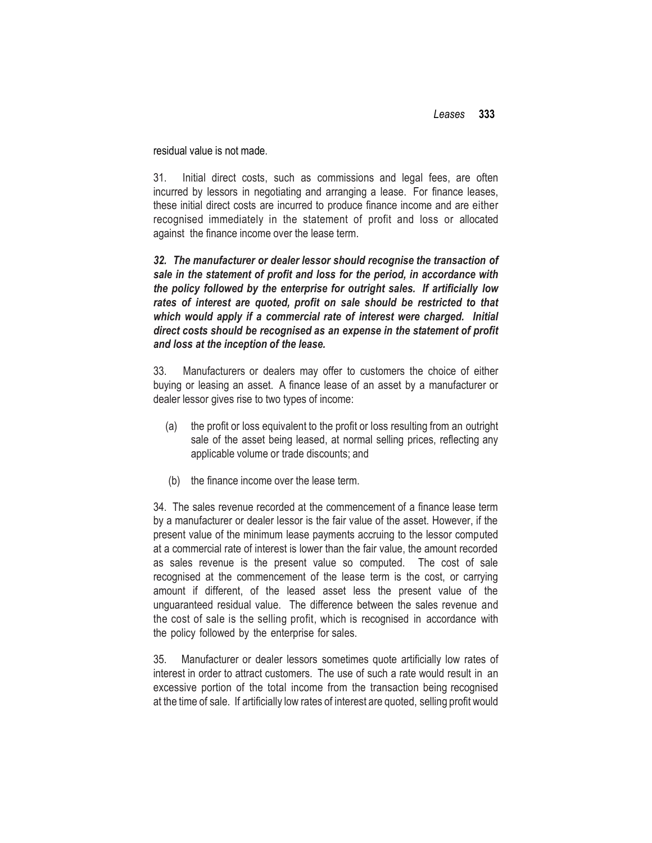residual value is not made.

31. Initial direct costs, such as commissions and legal fees, are often incurred by lessors in negotiating and arranging a lease. For finance leases, these initial direct costs are incurred to produce finance income and are either recognised immediately in the statement of profit and loss or allocated against the finance income over the lease term.

*32. The manufacturer or dealer lessor should recognise the transaction of sale in the statement of profit and loss for the period, in accordance with the policy followed by the enterprise for outright sales. If artificially low rates of interest are quoted, profit on sale should be restricted to that which would apply if a commercial rate of interest were charged. Initial direct costs should be recognised as an expense in the statement of profit and loss at the inception of the lease.*

33. Manufacturers or dealers may offer to customers the choice of either buying or leasing an asset. A finance lease of an asset by a manufacturer or dealer lessor gives rise to two types of income:

- (a) the profit or loss equivalent to the profit or loss resulting from an outright sale of the asset being leased, at normal selling prices, reflecting any applicable volume or trade discounts; and
- (b) the finance income over the lease term.

34. The sales revenue recorded at the commencement of a finance lease term by a manufacturer or dealer lessor is the fair value of the asset. However, if the present value of the minimum lease payments accruing to the lessor computed at a commercial rate of interest is lower than the fair value, the amount recorded as sales revenue is the present value so computed. The cost of sale recognised at the commencement of the lease term is the cost, or carrying amount if different, of the leased asset less the present value of the unguaranteed residual value. The difference between the sales revenue and the cost of sale is the selling profit, which is recognised in accordance with the policy followed by the enterprise for sales.

35. Manufacturer or dealer lessors sometimes quote artificially low rates of interest in order to attract customers. The use of such a rate would result in an excessive portion of the total income from the transaction being recognised at the time of sale. If artificially low rates of interest are quoted, selling profit would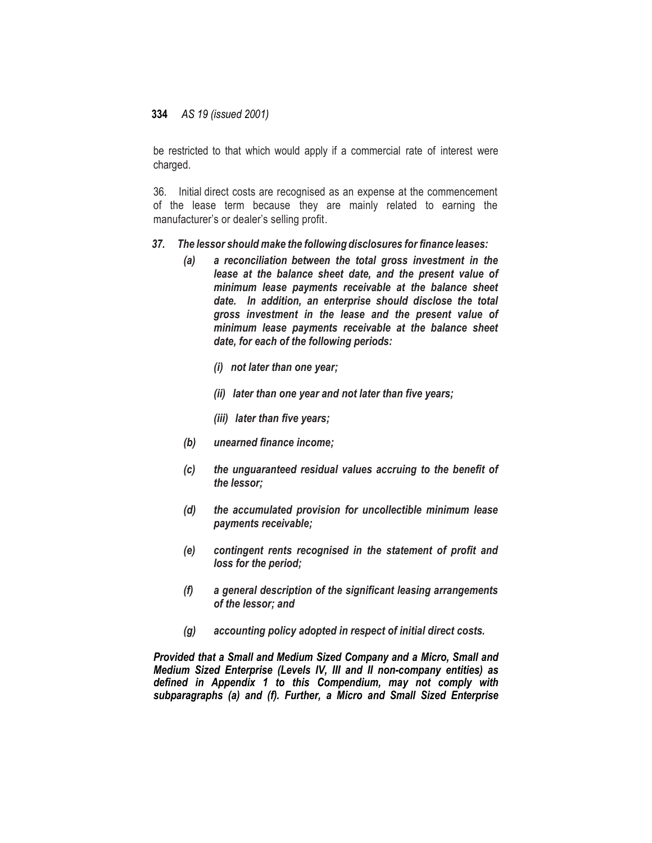be restricted to that which would apply if a commercial rate of interest were charged.

36. Initial direct costs are recognised as an expense at the commencement of the lease term because they are mainly related to earning the manufacturer's or dealer's selling profit.

#### *37. The lessor should make the following disclosures for finance leases:*

- *(a) a reconciliation between the total gross investment in the lease at the balance sheet date, and the present value of minimum lease payments receivable at the balance sheet date. In addition, an enterprise should disclose the total gross investment in the lease and the present value of minimum lease payments receivable at the balance sheet date, for each of the following periods:*
	- *(i) not later than one year;*
	- *(ii) later than one year and not later than five years;*
	- *(iii) later than five years;*
- *(b) unearned finance income;*
- *(c) the unguaranteed residual values accruing to the benefit of the lessor;*
- *(d) the accumulated provision for uncollectible minimum lease payments receivable;*
- *(e) contingent rents recognised in the statement of profit and loss for the period;*
- *(f) a general description of the significant leasing arrangements of the lessor; and*
- *(g) accounting policy adopted in respect of initial direct costs.*

*Provided that a Small and Medium Sized Company and a Micro, Small and Medium Sized Enterprise (Levels IV, III and II non-company entities) as defined in Appendix 1 to this Compendium, may not comply with subparagraphs (a) and (f). Further, a Micro and Small Sized Enterprise*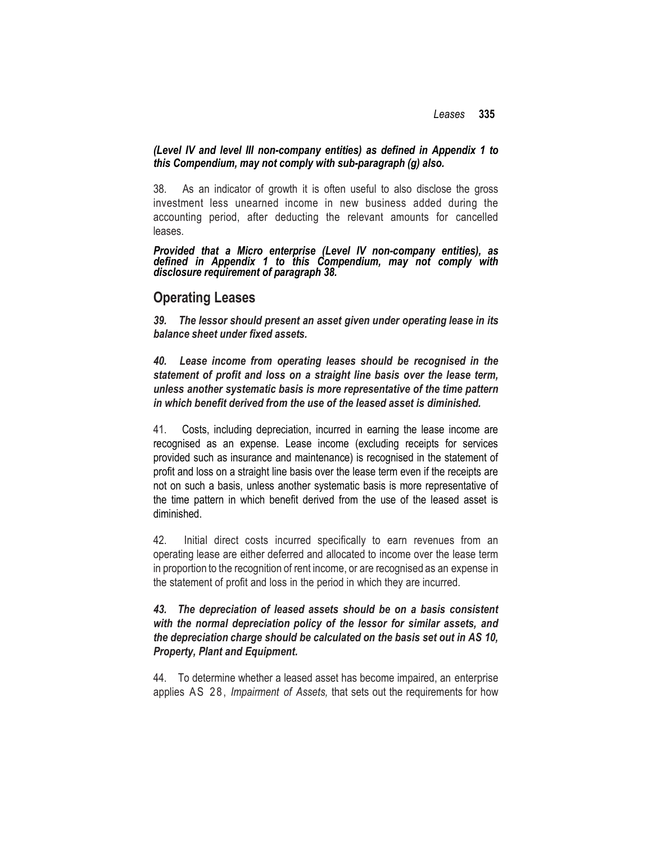*(Level IV and level III non-company entities) as defined in Appendix 1 to this Compendium, may not comply with sub-paragraph (g) also.*

38. As an indicator of growth it is often useful to also disclose the gross investment less unearned income in new business added during the accounting period, after deducting the relevant amounts for cancelled leases.

*Provided that a Micro enterprise (Level IV non-company entities), as defined in Appendix 1 to this Compendium, may not comply with disclosure requirement of paragraph 38.*

### **Operating Leases**

*39. The lessor should present an asset given under operating lease in its balance sheet under fixed assets.*

*40. Lease income from operating leases should be recognised in the statement of profit and loss on a straight line basis over the lease term, unless another systematic basis is more representative of the time pattern in which benefit derived from the use of the leased asset is diminished.*

41. Costs, including depreciation, incurred in earning the lease income are recognised as an expense. Lease income (excluding receipts for services provided such as insurance and maintenance) is recognised in the statement of profit and loss on a straight line basis over the lease term even if the receipts are not on such a basis, unless another systematic basis is more representative of the time pattern in which benefit derived from the use of the leased asset is diminished.

42. Initial direct costs incurred specifically to earn revenues from an operating lease are either deferred and allocated to income over the lease term in proportion to the recognition of rent income, or are recognised as an expense in the statement of profit and loss in the period in which they are incurred.

### *43. The depreciation of leased assets should be on a basis consistent with the normal depreciation policy of the lessor for similar assets, and the depreciation charge should be calculated on the basis set out in AS 10, Property, Plant and Equipment.*

44. To determine whether a leased asset has become impaired, an enterprise applies A S 2 8 , *Impairment of Assets,* that sets out the requirements for how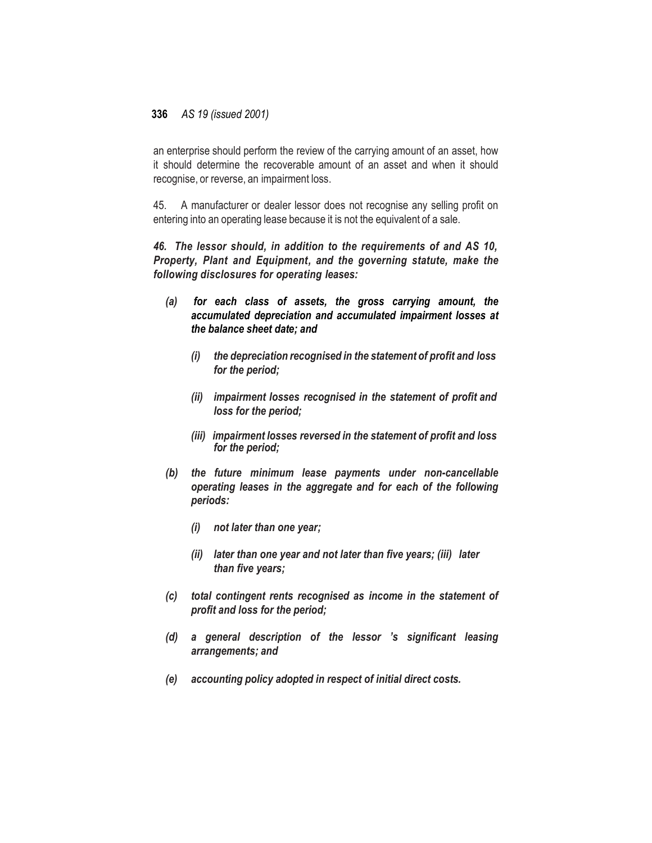an enterprise should perform the review of the carrying amount of an asset, how it should determine the recoverable amount of an asset and when it should recognise, or reverse, an impairment loss.

45. A manufacturer or dealer lessor does not recognise any selling profit on entering into an operating lease because it is not the equivalent of a sale.

*46. The lessor should, in addition to the requirements of and AS 10, Property, Plant and Equipment, and the governing statute, make the following disclosures for operating leases:*

- *(a) for each class of assets, the gross carrying amount, the accumulated depreciation and accumulated impairment losses at the balance sheet date; and*
	- *(i) the depreciation recognised in the statement of profit and loss for the period;*
	- *(ii) impairment losses recognised in the statement of profit and loss for the period;*
	- *(iii) impairment losses reversed in the statement of profit and loss for the period;*
- *(b) the future minimum lease payments under non-cancellable operating leases in the aggregate and for each of the following periods:*
	- *(i) not later than one year;*
	- *(ii) later than one year and not later than five years; (iii) later than five years;*
- *(c) total contingent rents recognised as income in the statement of profit and loss for the period;*
- *(d) a general description of the lessor 's significant leasing arrangements; and*
- *(e) accounting policy adopted in respect of initial direct costs.*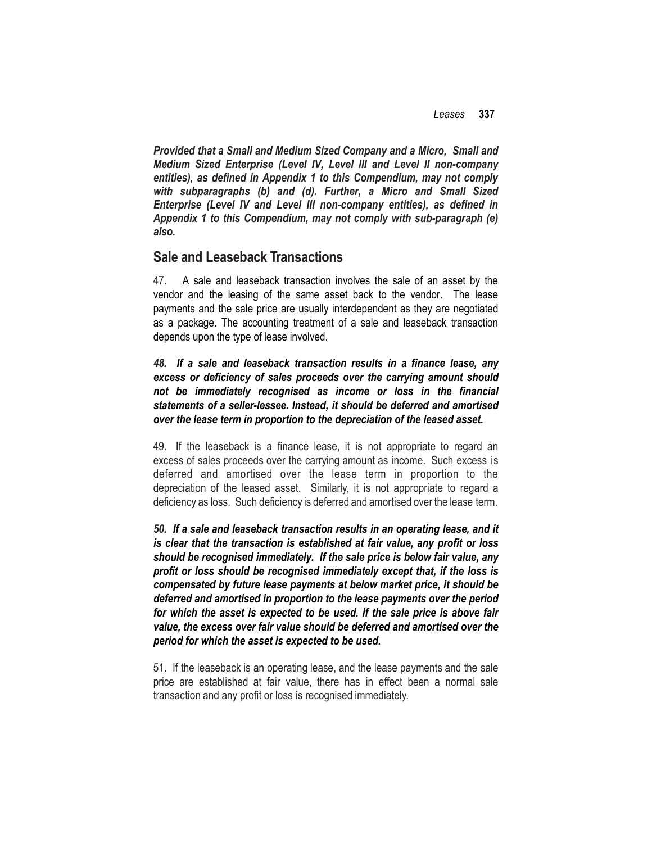*Provided that a Small and Medium Sized Company and a Micro, Small and Medium Sized Enterprise (Level IV, Level III and Level II non-company entities), as defined in Appendix 1 to this Compendium, may not comply with subparagraphs (b) and (d). Further, a Micro and Small Sized Enterprise (Level IV and Level III non-company entities), as defined in Appendix 1 to this Compendium, may not comply with sub-paragraph (e) also.*

### **Sale and Leaseback Transactions**

47. A sale and leaseback transaction involves the sale of an asset by the vendor and the leasing of the same asset back to the vendor. The lease payments and the sale price are usually interdependent as they are negotiated as a package. The accounting treatment of a sale and leaseback transaction depends upon the type of lease involved.

*48. If a sale and leaseback transaction results in a finance lease, any excess or deficiency of sales proceeds over the carrying amount should not be immediately recognised as income or loss in the financial statements of a seller-lessee. Instead, it should be deferred and amortised over the lease term in proportion to the depreciation of the leased asset.*

49. If the leaseback is a finance lease, it is not appropriate to regard an excess of sales proceeds over the carrying amount as income. Such excess is deferred and amortised over the lease term in proportion to the depreciation of the leased asset. Similarly, it is not appropriate to regard a deficiency as loss. Such deficiency is deferred and amortised over the lease term.

*50. If a sale and leaseback transaction results in an operating lease, and it is clear that the transaction is established at fair value, any profit or loss should be recognised immediately. If the sale price is below fair value, any profit or loss should be recognised immediately except that, if the loss is compensated by future lease payments at below market price, it should be deferred and amortised in proportion to the lease payments over the period for which the asset is expected to be used. If the sale price is above fair value, the excess over fair value should be deferred and amortised over the period for which the asset is expected to be used.*

51. If the leaseback is an operating lease, and the lease payments and the sale price are established at fair value, there has in effect been a normal sale transaction and any profit or loss is recognised immediately.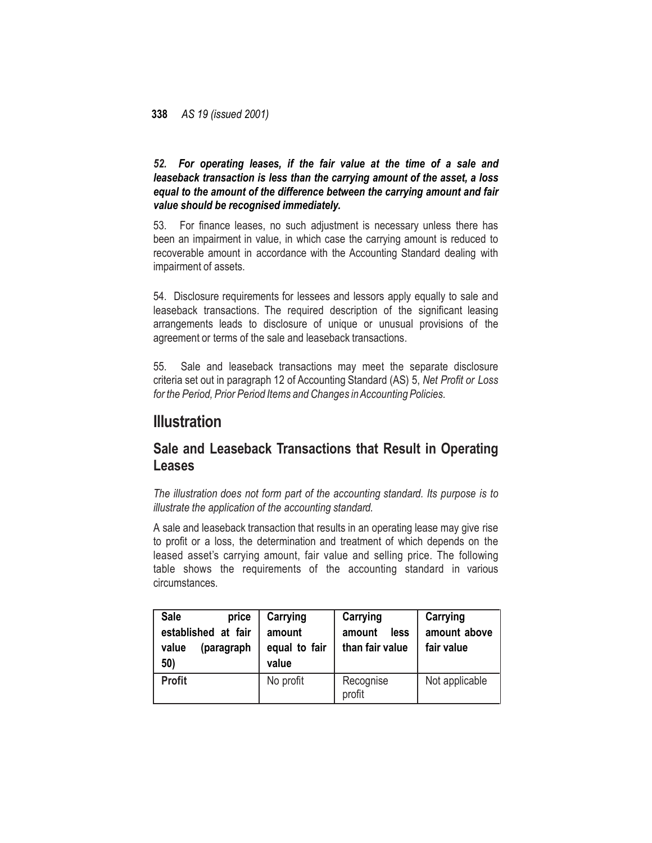*52. For operating leases, if the fair value at the time of a sale and leaseback transaction is less than the carrying amount of the asset, a loss equal to the amount of the difference between the carrying amount and fair value should be recognised immediately.*

53. For finance leases, no such adjustment is necessary unless there has been an impairment in value, in which case the carrying amount is reduced to recoverable amount in accordance with the Accounting Standard dealing with impairment of assets.

54. Disclosure requirements for lessees and lessors apply equally to sale and leaseback transactions. The required description of the significant leasing arrangements leads to disclosure of unique or unusual provisions of the agreement or terms of the sale and leaseback transactions.

55. Sale and leaseback transactions may meet the separate disclosure criteria set out in paragraph 12 of Accounting Standard (AS) 5, *Net Profit or Loss for the Period, Prior Period Items and Changes inAccounting Policies.*

# **Illustration**

# **Sale and Leaseback Transactions that Result in Operating Leases**

*The illustration does not form part of the accounting standard. Its purpose is to illustrate the application of the accounting standard.*

A sale and leaseback transaction that results in an operating lease may give rise to profit or a loss, the determination and treatment of which depends on the leased asset's carrying amount, fair value and selling price. The following table shows the requirements of the accounting standard in various circumstances.

| <b>Sale</b><br>price<br>established at fair<br>(paragraph<br>value<br>50) | Carrying<br>amount<br>equal to fair<br>value | Carrying<br>less<br>amount<br>than fair value | Carrying<br>amount above<br>fair value |
|---------------------------------------------------------------------------|----------------------------------------------|-----------------------------------------------|----------------------------------------|
| <b>Profit</b>                                                             | No profit                                    | Recognise<br>profit                           | Not applicable                         |